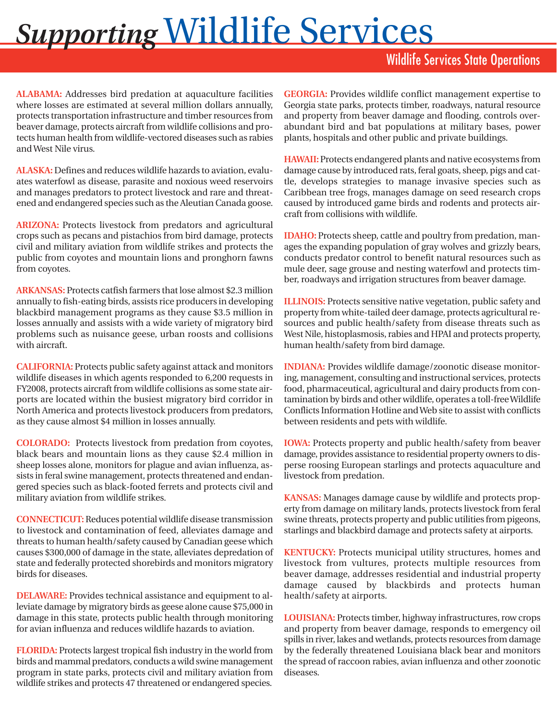## *Supporting* Wildlife Services

## Wildlife Services State Operations

**ALABAMA:** Addresses bird predation at aquaculture facilities where losses are estimated at several million dollars annually, protects transportation infrastructure and timber resources from beaver damage, protects aircraft from wildlife collisions and protects human health from wildlife-vectored diseases such as rabies and West Nile virus.

**ALASKA:** Defines and reduces wildlife hazards to aviation, evaluates waterfowl as disease, parasite and noxious weed reservoirs and manages predators to protect livestock and rare and threatened and endangered species such as the Aleutian Canada goose.

**ARIZONA:** Protects livestock from predators and agricultural crops such as pecans and pistachios from bird damage, protects civil and military aviation from wildlife strikes and protects the public from coyotes and mountain lions and pronghorn fawns from coyotes.

**ARKANSAS:** Protects catfish farmers that lose almost \$2.3 million annually to fish-eating birds, assists rice producers in developing blackbird management programs as they cause \$3.5 million in losses annually and assists with a wide variety of migratory bird problems such as nuisance geese, urban roosts and collisions with aircraft.

**CALIFORNIA:** Protects public safety against attack and monitors wildlife diseases in which agents responded to 6,200 requests in FY2008, protects aircraft from wildlife collisions as some state airports are located within the busiest migratory bird corridor in North America and protects livestock producers from predators, as they cause almost \$4 million in losses annually.

**COLORADO:** Protects livestock from predation from coyotes, black bears and mountain lions as they cause \$2.4 million in sheep losses alone, monitors for plague and avian influenza, assists in feral swine management, protects threatened and endangered species such as black-footed ferrets and protects civil and military aviation from wildlife strikes.

**CONNECTICUT:** Reduces potential wildlife disease transmission to livestock and contamination of feed, alleviates damage and threats to human health/safety caused by Canadian geese which causes \$300,000 of damage in the state, alleviates depredation of state and federally protected shorebirds and monitors migratory birds for diseases.

**DELAWARE:** Provides technical assistance and equipment to alleviate damage by migratory birds as geese alone cause \$75,000 in damage in this state, protects public health through monitoring for avian influenza and reduces wildlife hazards to aviation.

**FLORIDA:** Protects largest tropical fish industry in the world from birds and mammal predators, conducts a wild swine management program in state parks, protects civil and military aviation from wildlife strikes and protects 47 threatened or endangered species.

**GEORGIA:** Provides wildlife conflict management expertise to Georgia state parks, protects timber, roadways, natural resource and property from beaver damage and flooding, controls overabundant bird and bat populations at military bases, power plants, hospitals and other public and private buildings.

**HAWAII:** Protects endangered plants and native ecosystems from damage cause by introduced rats, feral goats, sheep, pigs and cattle, develops strategies to manage invasive species such as Caribbean tree frogs, manages damage on seed research crops caused by introduced game birds and rodents and protects aircraft from collisions with wildlife.

**IDAHO:** Protects sheep, cattle and poultry from predation, manages the expanding population of gray wolves and grizzly bears, conducts predator control to benefit natural resources such as mule deer, sage grouse and nesting waterfowl and protects timber, roadways and irrigation structures from beaver damage.

**ILLINOIS:** Protects sensitive native vegetation, public safety and property from white-tailed deer damage, protects agricultural resources and public health/safety from disease threats such as West Nile, histoplasmosis, rabies and HPAI and protects property, human health/safety from bird damage.

**INDIANA:** Provides wildlife damage/zoonotic disease monitoring, management, consulting and instructional services, protects food, pharmaceutical, agricultural and dairy products from contamination by birds and other wildlife, operates a toll-free Wildlife Conflicts Information Hotline and Web site to assist with conflicts between residents and pets with wildlife.

**IOWA:** Protects property and public health/safety from beaver damage, provides assistance to residential property owners to disperse roosing European starlings and protects aquaculture and livestock from predation.

**KANSAS:** Manages damage cause by wildlife and protects property from damage on military lands, protects livestock from feral swine threats, protects property and public utilities from pigeons, starlings and blackbird damage and protects safety at airports.

**KENTUCKY:** Protects municipal utility structures, homes and livestock from vultures, protects multiple resources from beaver damage, addresses residential and industrial property damage caused by blackbirds and protects human health/safety at airports.

**LOUISIANA:** Protects timber, highway infrastructures, row crops and property from beaver damage, responds to emergency oil spills in river, lakes and wetlands, protects resources from damage by the federally threatened Louisiana black bear and monitors the spread of raccoon rabies, avian influenza and other zoonotic diseases.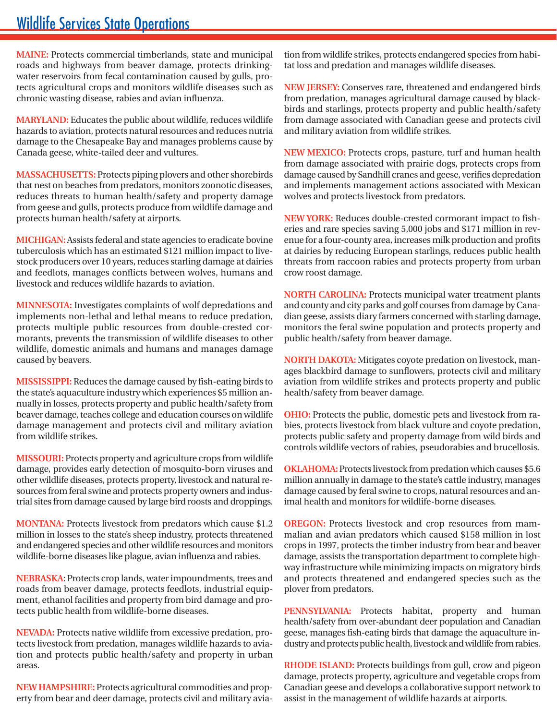## Wildlife Services State Operations

**MAINE:** Protects commercial timberlands, state and municipal roads and highways from beaver damage, protects drinkingwater reservoirs from fecal contamination caused by gulls, protects agricultural crops and monitors wildlife diseases such as chronic wasting disease, rabies and avian influenza.

**MARYLAND:** Educates the public about wildlife, reduces wildlife hazards to aviation, protects natural resources and reduces nutria damage to the Chesapeake Bay and manages problems cause by Canada geese, white-tailed deer and vultures.

**MASSACHUSETTS:** Protects piping plovers and other shorebirds that nest on beaches from predators, monitors zoonotic diseases, reduces threats to human health/safety and property damage from geese and gulls, protects produce from wildlife damage and protects human health/safety at airports.

**MICHIGAN:** Assists federal and state agencies to eradicate bovine tuberculosis which has an estimated \$121 million impact to livestock producers over 10 years, reduces starling damage at dairies and feedlots, manages conflicts between wolves, humans and livestock and reduces wildlife hazards to aviation.

**MINNESOTA:** Investigates complaints of wolf depredations and implements non-lethal and lethal means to reduce predation, protects multiple public resources from double-crested cormorants, prevents the transmission of wildlife diseases to other wildlife, domestic animals and humans and manages damage caused by beavers.

**MISSISSIPPI:** Reduces the damage caused by fish-eating birds to the state's aquaculture industry which experiences \$5 million annually in losses, protects property and public health/safety from beaver damage, teaches college and education courses on wildlife damage management and protects civil and military aviation from wildlife strikes.

**MISSOURI:** Protects property and agriculture crops from wildlife damage, provides early detection of mosquito-born viruses and other wildlife diseases, protects property, livestock and natural resources from feral swine and protects property owners and industrial sites from damage caused by large bird roosts and droppings.

million in losses to the state's sheep industry, protects threatened mal **MONTANA:** Protects livestock from predators which cause \$1.2 and endangered species and other wildlife resources and monitors wildlife-borne diseases like plague, avian influenza and rabies.

**NEBRASKA**: Protects crop lands, water impoundments, trees and roads from beaver damage, protects feedlots, industrial equipment, ethanol facilities and property from bird damage and protects public health from wildlife-borne diseases.

**NEVADA:** Protects native wildlife from excessive predation, protects livestock from predation, manages wildlife hazards to aviation and protects public health/safety and property in urban areas.

**NEW HAMPSHIRE:** Protects agricultural commodities and property from bear and deer damage, protects civil and military aviation from wildlife strikes, protects endangered species from habitat loss and predation and manages wildlife diseases.

**NEW JERSEY:** Conserves rare, threatened and endangered birds from predation, manages agricultural damage caused by blackbirds and starlings, protects property and public health/safety from damage associated with Canadian geese and protects civil and military aviation from wildlife strikes.

**NEW MEXICO:** Protects crops, pasture, turf and human health from damage associated with prairie dogs, protects crops from damage caused by Sandhill cranes and geese, verifies depredation and implements management actions associated with Mexican wolves and protects livestock from predators.

**NEW YORK:** Reduces double-crested cormorant impact to fisheries and rare species saving 5,000 jobs and \$171 million in revenue for a four-county area, increases milk production and profits at dairies by reducing European starlings, reduces public health threats from raccoon rabies and protects property from urban crow roost damage.

**NORTH CAROLINA:** Protects municipal water treatment plants and county and city parks and golf courses from damage by Canadian geese, assists diary farmers concerned with starling damage, monitors the feral swine population and protects property and public health/safety from beaver damage.

**NORTH DAKOTA:** Mitigates coyote predation on livestock, manages blackbird damage to sunflowers, protects civil and military aviation from wildlife strikes and protects property and public health/safety from beaver damage.

**OHIO:** Protects the public, domestic pets and livestock from rabies, protects livestock from black vulture and coyote predation, protects public safety and property damage from wild birds and controls wildlife vectors of rabies, pseudorabies and brucellosis.

**OKLAHOMA:** Protects livestock from predation which causes \$5.6 million annually in damage to the state's cattle industry, manages damage caused by feral swine to crops, natural resources and animal health and monitors for wildlife-borne diseases.

**OREGON:** Protects livestock and crop resources from mammalian and avian predators which caused \$158 million in lost crops in 1997, protects the timber industry from bear and beaver damage, assists the transportation department to complete highway infrastructure while minimizing impacts on migratory birds and protects threatened and endangered species such as the plover from predators.

**PENNSYLVANIA:** Protects habitat, property and human health/safety from over-abundant deer population and Canadian geese, manages fish-eating birds that damage the aquaculture industry and protects public health, livestock and wildlife from rabies.

**RHODE ISLAND:** Protects buildings from gull, crow and pigeon damage, protects property, agriculture and vegetable crops from Canadian geese and develops a collaborative support network to assist in the management of wildlife hazards at airports.